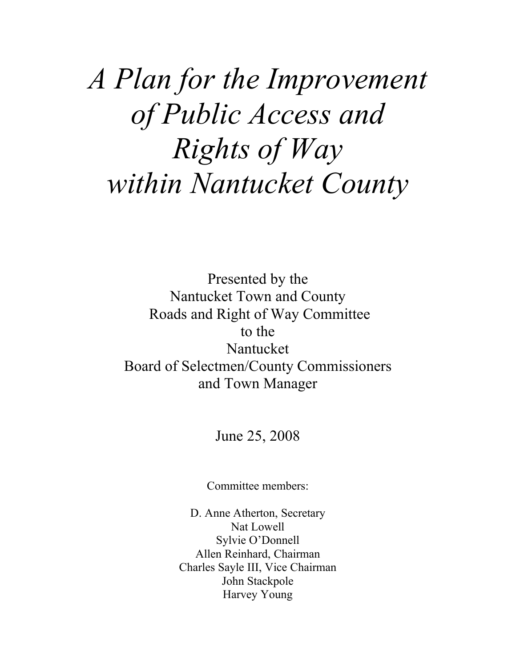# *A Plan for the Improvement of Public Access and Rights of Way within Nantucket County*

Presented by the Nantucket Town and County Roads and Right of Way Committee to the Nantucket Board of Selectmen/County Commissioners and Town Manager

June 25, 2008

Committee members:

D. Anne Atherton, Secretary Nat Lowell Sylvie O'Donnell Allen Reinhard, Chairman Charles Sayle III, Vice Chairman John Stackpole Harvey Young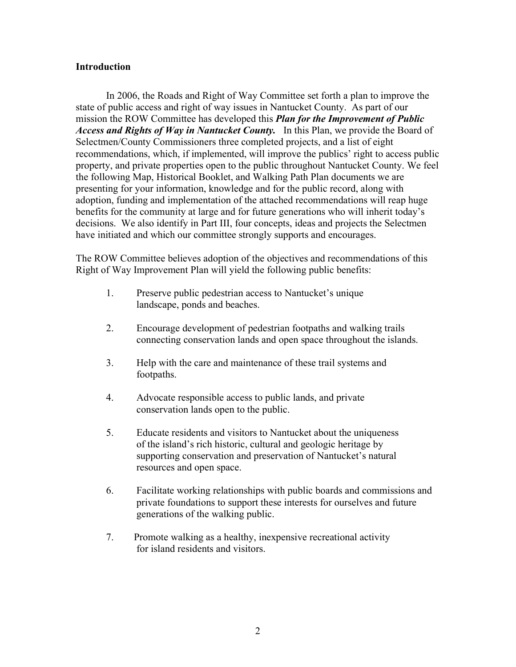#### **Introduction**

In 2006, the Roads and Right of Way Committee set forth a plan to improve the state of public access and right of way issues in Nantucket County. As part of our mission the ROW Committee has developed this *Plan for the Improvement of Public Access and Rights of Way in Nantucket County.* In this Plan, we provide the Board of Selectmen/County Commissioners three completed projects, and a list of eight recommendations, which, if implemented, will improve the publics' right to access public property, and private properties open to the public throughout Nantucket County. We feel the following Map, Historical Booklet, and Walking Path Plan documents we are presenting for your information, knowledge and for the public record, along with adoption, funding and implementation of the attached recommendations will reap huge benefits for the community at large and for future generations who will inherit today's decisions. We also identify in Part III, four concepts, ideas and projects the Selectmen have initiated and which our committee strongly supports and encourages.

The ROW Committee believes adoption of the objectives and recommendations of this Right of Way Improvement Plan will yield the following public benefits:

- 1. Preserve public pedestrian access to Nantucket's unique landscape, ponds and beaches.
- 2. Encourage development of pedestrian footpaths and walking trails connecting conservation lands and open space throughout the islands.
- 3. Help with the care and maintenance of these trail systems and footpaths.
- 4. Advocate responsible access to public lands, and private conservation lands open to the public.
- 5. Educate residents and visitors to Nantucket about the uniqueness of the island's rich historic, cultural and geologic heritage by supporting conservation and preservation of Nantucket's natural resources and open space.
- 6. Facilitate working relationships with public boards and commissions and private foundations to support these interests for ourselves and future generations of the walking public.
- 7. Promote walking as a healthy, inexpensive recreational activity for island residents and visitors.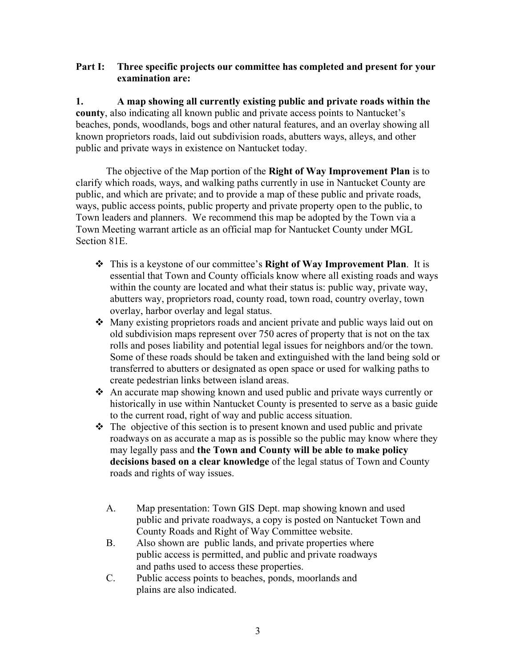## **Part I: Three specific projects our committee has completed and present for your examination are:**

**1. A map showing all currently existing public and private roads within the county**, also indicating all known public and private access points to Nantucket's beaches, ponds, woodlands, bogs and other natural features, and an overlay showing all known proprietors roads, laid out subdivision roads, abutters ways, alleys, and other public and private ways in existence on Nantucket today.

The objective of the Map portion of the **Right of Way Improvement Plan** is to clarify which roads, ways, and walking paths currently in use in Nantucket County are public, and which are private; and to provide a map of these public and private roads, ways, public access points, public property and private property open to the public, to Town leaders and planners. We recommend this map be adopted by the Town via a Town Meeting warrant article as an official map for Nantucket County under MGL Section 81E.

- This is a keystone of our committee's **Right of Way Improvement Plan**. It is essential that Town and County officials know where all existing roads and ways within the county are located and what their status is: public way, private way, abutters way, proprietors road, county road, town road, country overlay, town overlay, harbor overlay and legal status.
- Many existing proprietors roads and ancient private and public ways laid out on old subdivision maps represent over 750 acres of property that is not on the tax rolls and poses liability and potential legal issues for neighbors and/or the town. Some of these roads should be taken and extinguished with the land being sold or transferred to abutters or designated as open space or used for walking paths to create pedestrian links between island areas.
- An accurate map showing known and used public and private ways currently or historically in use within Nantucket County is presented to serve as a basic guide to the current road, right of way and public access situation.
- $\triangle$  The objective of this section is to present known and used public and private roadways on as accurate a map as is possible so the public may know where they may legally pass and **the Town and County will be able to make policy decisions based on a clear knowledge** of the legal status of Town and County roads and rights of way issues.
	- A. Map presentation: Town GIS Dept. map showing known and used public and private roadways, a copy is posted on Nantucket Town and County Roads and Right of Way Committee website.
	- B. Also shown are public lands, and private properties where public access is permitted, and public and private roadways and paths used to access these properties.
	- C. Public access points to beaches, ponds, moorlands and plains are also indicated.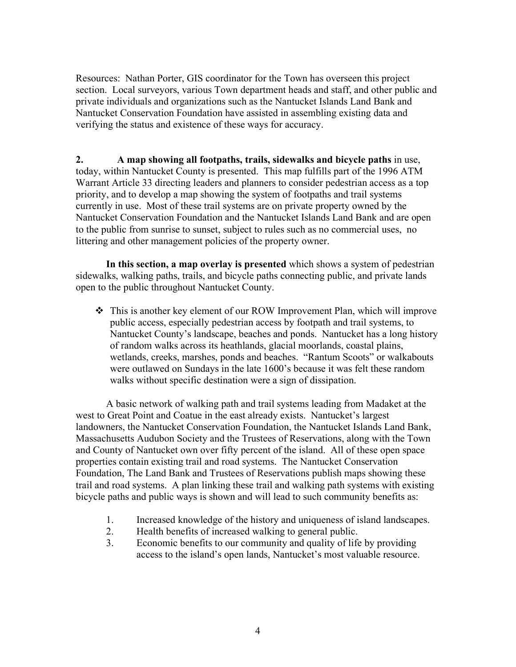Resources: Nathan Porter, GIS coordinator for the Town has overseen this project section. Local surveyors, various Town department heads and staff, and other public and private individuals and organizations such as the Nantucket Islands Land Bank and Nantucket Conservation Foundation have assisted in assembling existing data and verifying the status and existence of these ways for accuracy.

**2. A map showing all footpaths, trails, sidewalks and bicycle paths** in use, today, within Nantucket County is presented. This map fulfills part of the 1996 ATM Warrant Article 33 directing leaders and planners to consider pedestrian access as a top priority, and to develop a map showing the system of footpaths and trail systems currently in use. Most of these trail systems are on private property owned by the Nantucket Conservation Foundation and the Nantucket Islands Land Bank and are open to the public from sunrise to sunset, subject to rules such as no commercial uses, no littering and other management policies of the property owner.

**In this section, a map overlay is presented** which shows a system of pedestrian sidewalks, walking paths, trails, and bicycle paths connecting public, and private lands open to the public throughout Nantucket County.

 This is another key element of our ROW Improvement Plan, which will improve public access, especially pedestrian access by footpath and trail systems, to Nantucket County's landscape, beaches and ponds. Nantucket has a long history of random walks across its heathlands, glacial moorlands, coastal plains, wetlands, creeks, marshes, ponds and beaches. "Rantum Scoots" or walkabouts were outlawed on Sundays in the late 1600's because it was felt these random walks without specific destination were a sign of dissipation.

A basic network of walking path and trail systems leading from Madaket at the west to Great Point and Coatue in the east already exists. Nantucket's largest landowners, the Nantucket Conservation Foundation, the Nantucket Islands Land Bank, Massachusetts Audubon Society and the Trustees of Reservations, along with the Town and County of Nantucket own over fifty percent of the island. All of these open space properties contain existing trail and road systems. The Nantucket Conservation Foundation, The Land Bank and Trustees of Reservations publish maps showing these trail and road systems. A plan linking these trail and walking path systems with existing bicycle paths and public ways is shown and will lead to such community benefits as:

- 1. Increased knowledge of the history and uniqueness of island landscapes.
- 2. Health benefits of increased walking to general public.
- 3. Economic benefits to our community and quality of life by providing access to the island's open lands, Nantucket's most valuable resource.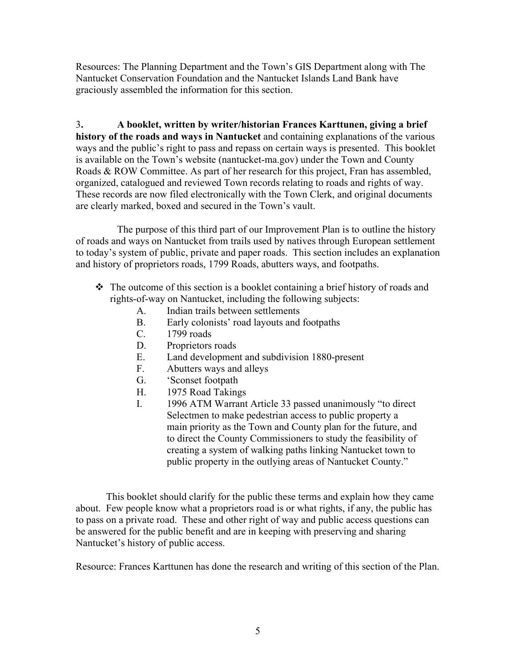Resources: The Planning Department and the Town's GIS Department along with The Nantucket Conservation Foundation and the Nantucket Islands Land Bank have graciously assembled the information for this section.

3**. A booklet, written by writer/historian Frances Karttunen, giving a brief history of the roads and ways in Nantucket** and containing explanations of the various ways and the public's right to pass and repass on certain ways is presented. This booklet is available on the Town's website (nantucket-ma.gov) under the Town and County Roads & ROW Committee. As part of her research for this project, Fran has assembled, organized, catalogued and reviewed Town records relating to roads and rights of way. These records are now filed electronically with the Town Clerk, and original documents are clearly marked, boxed and secured in the Town's vault.

The purpose of this third part of our Improvement Plan is to outline the history of roads and ways on Nantucket from trails used by natives through European settlement to today's system of public, private and paper roads. This section includes an explanation and history of proprietors roads, 1799 Roads, abutters ways, and footpaths.

- The outcome of this section is a booklet containing a brief history of roads and rights-of-way on Nantucket, including the following subjects:
	- A. Indian trails between settlements
	- B. Early colonists' road layouts and footpaths
	- C. 1799 roads
	- D. Proprietors roads
	- E. Land development and subdivision 1880-present
	- F. Abutters ways and alleys
	- G. 'Sconset footpath
	- H. 1975 Road Takings
	- I. 1996 ATM Warrant Article 33 passed unanimously "to direct Selectmen to make pedestrian access to public property a main priority as the Town and County plan for the future, and to direct the County Commissioners to study the feasibility of creating a system of walking paths linking Nantucket town to public property in the outlying areas of Nantucket County."

This booklet should clarify for the public these terms and explain how they came about. Few people know what a proprietors road is or what rights, if any, the public has to pass on a private road. These and other right of way and public access questions can be answered for the public benefit and are in keeping with preserving and sharing Nantucket's history of public access.

Resource: Frances Karttunen has done the research and writing of this section of the Plan.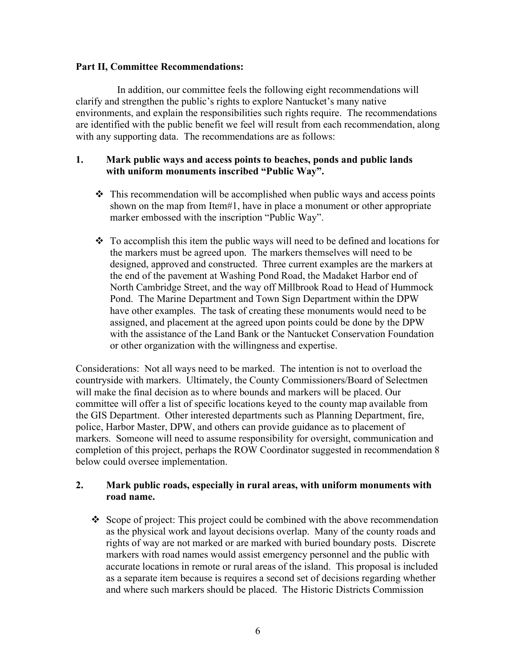### **Part II, Committee Recommendations:**

In addition, our committee feels the following eight recommendations will clarify and strengthen the public's rights to explore Nantucket's many native environments, and explain the responsibilities such rights require. The recommendations are identified with the public benefit we feel will result from each recommendation, along with any supporting data. The recommendations are as follows:

### **1. Mark public ways and access points to beaches, ponds and public lands with uniform monuments inscribed "Public Way".**

- $\cdot \cdot$  This recommendation will be accomplished when public ways and access points shown on the map from Item#1, have in place a monument or other appropriate marker embossed with the inscription "Public Way".
- $\cdot$  To accomplish this item the public ways will need to be defined and locations for the markers must be agreed upon. The markers themselves will need to be designed, approved and constructed. Three current examples are the markers at the end of the pavement at Washing Pond Road, the Madaket Harbor end of North Cambridge Street, and the way off Millbrook Road to Head of Hummock Pond. The Marine Department and Town Sign Department within the DPW have other examples. The task of creating these monuments would need to be assigned, and placement at the agreed upon points could be done by the DPW with the assistance of the Land Bank or the Nantucket Conservation Foundation or other organization with the willingness and expertise.

Considerations: Not all ways need to be marked. The intention is not to overload the countryside with markers. Ultimately, the County Commissioners/Board of Selectmen will make the final decision as to where bounds and markers will be placed. Our committee will offer a list of specific locations keyed to the county map available from the GIS Department. Other interested departments such as Planning Department, fire, police, Harbor Master, DPW, and others can provide guidance as to placement of markers. Someone will need to assume responsibility for oversight, communication and completion of this project, perhaps the ROW Coordinator suggested in recommendation 8 below could oversee implementation.

# **2. Mark public roads, especially in rural areas, with uniform monuments with road name.**

Scope of project: This project could be combined with the above recommendation as the physical work and layout decisions overlap. Many of the county roads and rights of way are not marked or are marked with buried boundary posts. Discrete markers with road names would assist emergency personnel and the public with accurate locations in remote or rural areas of the island. This proposal is included as a separate item because is requires a second set of decisions regarding whether and where such markers should be placed. The Historic Districts Commission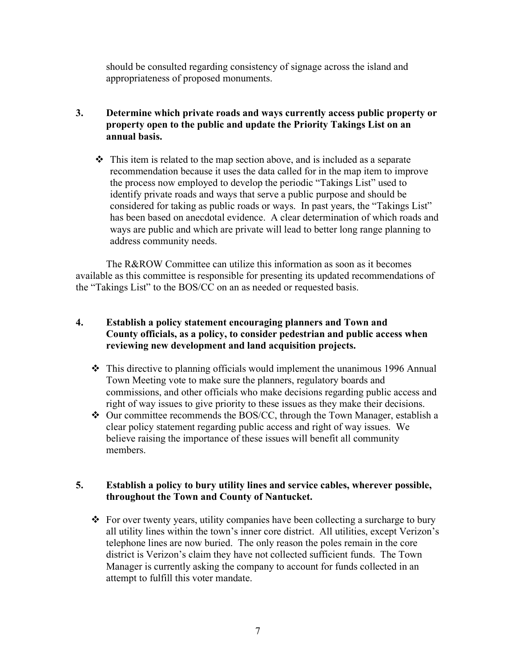should be consulted regarding consistency of signage across the island and appropriateness of proposed monuments.

# **3. Determine which private roads and ways currently access public property or property open to the public and update the Priority Takings List on an annual basis.**

 $\triangle$  This item is related to the map section above, and is included as a separate recommendation because it uses the data called for in the map item to improve the process now employed to develop the periodic "Takings List" used to identify private roads and ways that serve a public purpose and should be considered for taking as public roads or ways. In past years, the "Takings List" has been based on anecdotal evidence. A clear determination of which roads and ways are public and which are private will lead to better long range planning to address community needs.

The R&ROW Committee can utilize this information as soon as it becomes available as this committee is responsible for presenting its updated recommendations of the "Takings List" to the BOS/CC on an as needed or requested basis.

# **4. Establish a policy statement encouraging planners and Town and County officials, as a policy, to consider pedestrian and public access when reviewing new development and land acquisition projects.**

- $\div$  This directive to planning officials would implement the unanimous 1996 Annual Town Meeting vote to make sure the planners, regulatory boards and commissions, and other officials who make decisions regarding public access and right of way issues to give priority to these issues as they make their decisions.
- Our committee recommends the BOS/CC, through the Town Manager, establish a clear policy statement regarding public access and right of way issues. We believe raising the importance of these issues will benefit all community members.

## **5. Establish a policy to bury utility lines and service cables, wherever possible, throughout the Town and County of Nantucket.**

For over twenty years, utility companies have been collecting a surcharge to bury all utility lines within the town's inner core district. All utilities, except Verizon's telephone lines are now buried. The only reason the poles remain in the core district is Verizon's claim they have not collected sufficient funds. The Town Manager is currently asking the company to account for funds collected in an attempt to fulfill this voter mandate.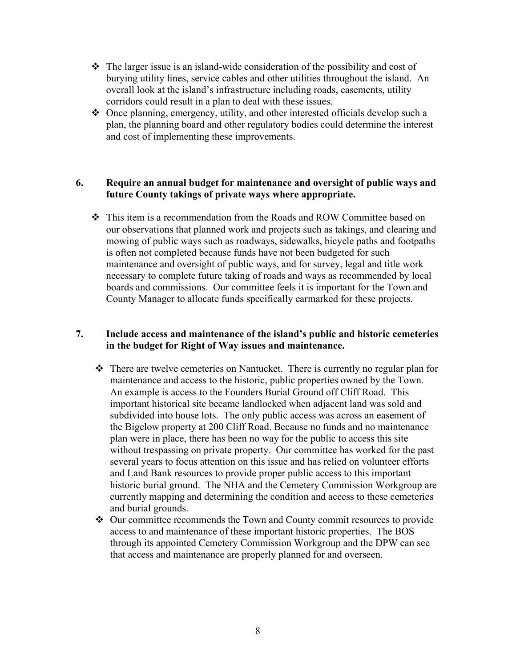- $\hat{\mathbf{v}}$  The larger issue is an island-wide consideration of the possibility and cost of burying utility lines, service cables and other utilities throughout the island. An overall look at the island's infrastructure including roads, easements, utility corridors could result in a plan to deal with these issues.
- Once planning, emergency, utility, and other interested officials develop such a plan, the planning board and other regulatory bodies could determine the interest and cost of implementing these improvements.

## **6. Require an annual budget for maintenance and oversight of public ways and future County takings of private ways where appropriate.**

 This item is a recommendation from the Roads and ROW Committee based on our observations that planned work and projects such as takings, and clearing and mowing of public ways such as roadways, sidewalks, bicycle paths and footpaths is often not completed because funds have not been budgeted for such maintenance and oversight of public ways, and for survey, legal and title work necessary to complete future taking of roads and ways as recommended by local boards and commissions. Our committee feels it is important for the Town and County Manager to allocate funds specifically earmarked for these projects.

## **7. Include access and maintenance of the island's public and historic cemeteries in the budget for Right of Way issues and maintenance.**

- There are twelve cemeteries on Nantucket. There is currently no regular plan for maintenance and access to the historic, public properties owned by the Town. An example is access to the Founders Burial Ground off Cliff Road. This important historical site became landlocked when adjacent land was sold and subdivided into house lots. The only public access was across an easement of the Bigelow property at 200 Cliff Road. Because no funds and no maintenance plan were in place, there has been no way for the public to access this site without trespassing on private property. Our committee has worked for the past several years to focus attention on this issue and has relied on volunteer efforts and Land Bank resources to provide proper public access to this important historic burial ground. The NHA and the Cemetery Commission Workgroup are currently mapping and determining the condition and access to these cemeteries and burial grounds.
- Our committee recommends the Town and County commit resources to provide access to and maintenance of these important historic properties. The BOS through its appointed Cemetery Commission Workgroup and the DPW can see that access and maintenance are properly planned for and overseen.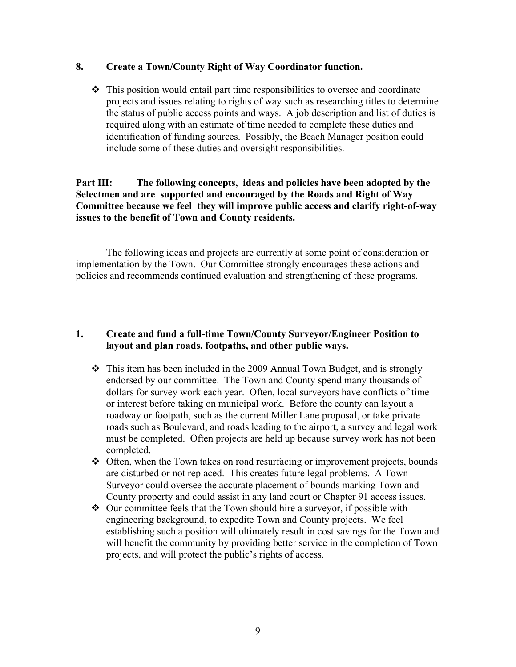#### **8. Create a Town/County Right of Way Coordinator function.**

 $\div$  This position would entail part time responsibilities to oversee and coordinate projects and issues relating to rights of way such as researching titles to determine the status of public access points and ways. A job description and list of duties is required along with an estimate of time needed to complete these duties and identification of funding sources. Possibly, the Beach Manager position could include some of these duties and oversight responsibilities.

## **Part III: The following concepts, ideas and policies have been adopted by the Selectmen and are supported and encouraged by the Roads and Right of Way Committee because we feel they will improve public access and clarify right-of-way issues to the benefit of Town and County residents.**

The following ideas and projects are currently at some point of consideration or implementation by the Town. Our Committee strongly encourages these actions and policies and recommends continued evaluation and strengthening of these programs.

## **1. Create and fund a full-time Town/County Surveyor/Engineer Position to layout and plan roads, footpaths, and other public ways.**

- $\cdot \cdot$  This item has been included in the 2009 Annual Town Budget, and is strongly endorsed by our committee. The Town and County spend many thousands of dollars for survey work each year. Often, local surveyors have conflicts of time or interest before taking on municipal work. Before the county can layout a roadway or footpath, such as the current Miller Lane proposal, or take private roads such as Boulevard, and roads leading to the airport, a survey and legal work must be completed. Often projects are held up because survey work has not been completed.
- Often, when the Town takes on road resurfacing or improvement projects, bounds are disturbed or not replaced. This creates future legal problems. A Town Surveyor could oversee the accurate placement of bounds marking Town and County property and could assist in any land court or Chapter 91 access issues.
- Our committee feels that the Town should hire a surveyor, if possible with engineering background, to expedite Town and County projects. We feel establishing such a position will ultimately result in cost savings for the Town and will benefit the community by providing better service in the completion of Town projects, and will protect the public's rights of access.